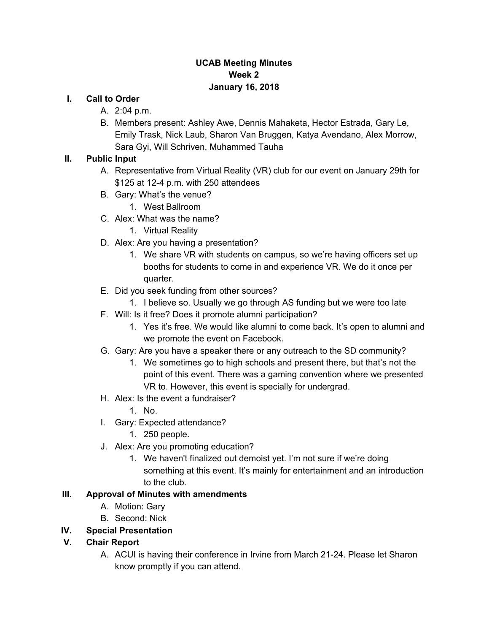### **UCAB Meeting Minutes Week 2 January 16, 2018**

### **I. Call to Order**

- A. 2:04 p.m.
- B. Members present: Ashley Awe, Dennis Mahaketa, Hector Estrada, Gary Le, Emily Trask, Nick Laub, Sharon Van Bruggen, Katya Avendano, Alex Morrow, Sara Gyi, Will Schriven, Muhammed Tauha

### **II. Public Input**

- A. Representative from Virtual Reality (VR) club for our event on January 29th for \$125 at 12-4 p.m. with 250 attendees
- B. Gary: What's the venue?
	- 1. West Ballroom
- C. Alex: What was the name?
	- 1. Virtual Reality
- D. Alex: Are you having a presentation?
	- 1. We share VR with students on campus, so we're having officers set up booths for students to come in and experience VR. We do it once per quarter.
- E. Did you seek funding from other sources?
	- 1. I believe so. Usually we go through AS funding but we were too late
- F. Will: Is it free? Does it promote alumni participation?
	- 1. Yes it's free. We would like alumni to come back. It's open to alumni and we promote the event on Facebook.
- G. Gary: Are you have a speaker there or any outreach to the SD community?
	- 1. We sometimes go to high schools and present there, but that's not the point of this event. There was a gaming convention where we presented VR to. However, this event is specially for undergrad.
- H. Alex: Is the event a fundraiser?
	- 1. No.
- I. Gary: Expected attendance?
	- 1. 250 people.
- J. Alex: Are you promoting education?
	- 1. We haven't finalized out demoist yet. I'm not sure if we're doing something at this event. It's mainly for entertainment and an introduction to the club.

### **III. Approval of Minutes with amendments**

- A. Motion: Gary
- B. Second: Nick

### **IV. Special Presentation**

- **V. Chair Report**
	- A. ACUI is having their conference in Irvine from March 21-24. Please let Sharon know promptly if you can attend.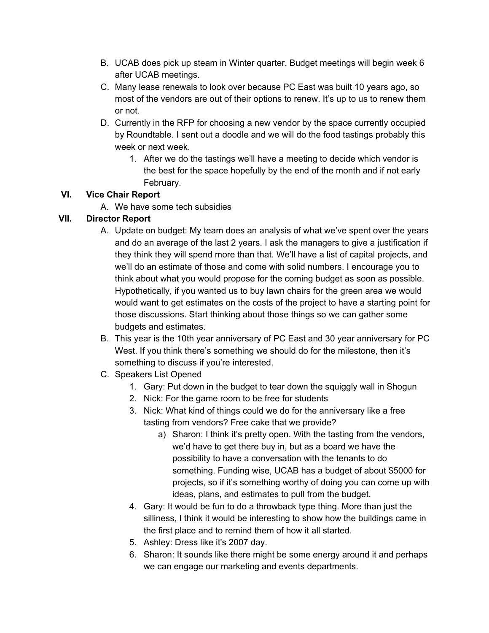- B. UCAB does pick up steam in Winter quarter. Budget meetings will begin week 6 after UCAB meetings.
- C. Many lease renewals to look over because PC East was built 10 years ago, so most of the vendors are out of their options to renew. It's up to us to renew them or not.
- D. Currently in the RFP for choosing a new vendor by the space currently occupied by Roundtable. I sent out a doodle and we will do the food tastings probably this week or next week.
	- 1. After we do the tastings we'll have a meeting to decide which vendor is the best for the space hopefully by the end of the month and if not early February.

## **VI. Vice Chair Report**

A. We have some tech subsidies

## **VII. Director Report**

- A. Update on budget: My team does an analysis of what we've spent over the years and do an average of the last 2 years. I ask the managers to give a justification if they think they will spend more than that. We'll have a list of capital projects, and we'll do an estimate of those and come with solid numbers. I encourage you to think about what you would propose for the coming budget as soon as possible. Hypothetically, if you wanted us to buy lawn chairs for the green area we would would want to get estimates on the costs of the project to have a starting point for those discussions. Start thinking about those things so we can gather some budgets and estimates.
- B. This year is the 10th year anniversary of PC East and 30 year anniversary for PC West. If you think there's something we should do for the milestone, then it's something to discuss if you're interested.
- C. Speakers List Opened
	- 1. Gary: Put down in the budget to tear down the squiggly wall in Shogun
	- 2. Nick: For the game room to be free for students
	- 3. Nick: What kind of things could we do for the anniversary like a free tasting from vendors? Free cake that we provide?
		- a) Sharon: I think it's pretty open. With the tasting from the vendors, we'd have to get there buy in, but as a board we have the possibility to have a conversation with the tenants to do something. Funding wise, UCAB has a budget of about \$5000 for projects, so if it's something worthy of doing you can come up with ideas, plans, and estimates to pull from the budget.
	- 4. Gary: It would be fun to do a throwback type thing. More than just the silliness, I think it would be interesting to show how the buildings came in the first place and to remind them of how it all started.
	- 5. Ashley: Dress like it's 2007 day.
	- 6. Sharon: It sounds like there might be some energy around it and perhaps we can engage our marketing and events departments.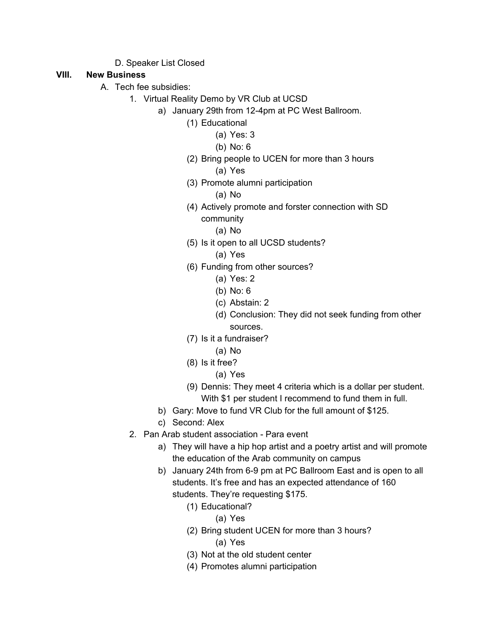D. Speaker List Closed

#### **VIII. New Business**

- A. Tech fee subsidies:
	- 1. Virtual Reality Demo by VR Club at UCSD
		- a) January 29th from 12-4pm at PC West Ballroom.
			- (1) Educational
				- (a) Yes: 3
				- (b) No: 6
			- (2) Bring people to UCEN for more than 3 hours (a) Yes
			- (3) Promote alumni participation
				- (a) No
			- (4) Actively promote and forster connection with SD community
				- (a) No
			- (5) Is it open to all UCSD students?
				- (a) Yes
			- (6) Funding from other sources?
				- (a) Yes: 2
				- (b) No: 6
				- (c) Abstain: 2
				- (d) Conclusion: They did not seek funding from other sources.
			- (7) Is it a fundraiser?
				- (a) No
			- (8) Is it free?
				- (a) Yes
			- (9) Dennis: They meet 4 criteria which is a dollar per student. With \$1 per student I recommend to fund them in full.
			- b) Gary: Move to fund VR Club for the full amount of \$125.
			- c) Second: Alex
	- 2. Pan Arab student association Para event
		- a) They will have a hip hop artist and a poetry artist and will promote the education of the Arab community on campus
		- b) January 24th from 6-9 pm at PC Ballroom East and is open to all students. It's free and has an expected attendance of 160 students. They're requesting \$175.
			- (1) Educational?
				- (a) Yes
			- (2) Bring student UCEN for more than 3 hours? (a) Yes
			- (3) Not at the old student center
			- (4) Promotes alumni participation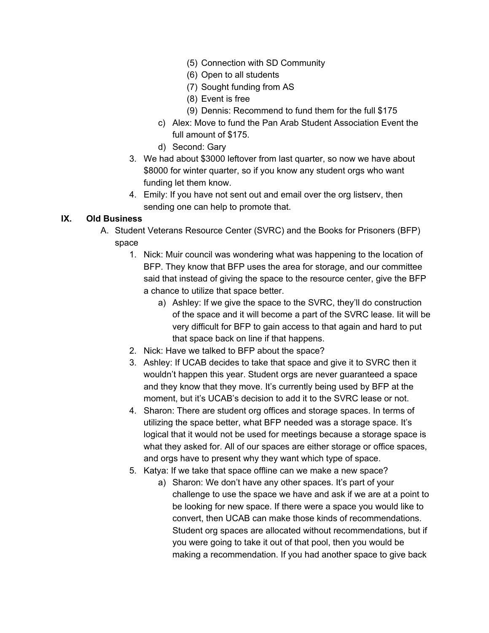- (5) Connection with SD Community
- (6) Open to all students
- (7) Sought funding from AS
- (8) Event is free
- (9) Dennis: Recommend to fund them for the full \$175
- c) Alex: Move to fund the Pan Arab Student Association Event the full amount of \$175.
- d) Second: Gary
- 3. We had about \$3000 leftover from last quarter, so now we have about \$8000 for winter quarter, so if you know any student orgs who want funding let them know.
- 4. Emily: If you have not sent out and email over the org listserv, then sending one can help to promote that.

### **IX. Old Business**

- A. Student Veterans Resource Center (SVRC) and the Books for Prisoners (BFP) space
	- 1. Nick: Muir council was wondering what was happening to the location of BFP. They know that BFP uses the area for storage, and our committee said that instead of giving the space to the resource center, give the BFP a chance to utilize that space better.
		- a) Ashley: If we give the space to the SVRC, they'll do construction of the space and it will become a part of the SVRC lease. Iit will be very difficult for BFP to gain access to that again and hard to put that space back on line if that happens.
	- 2. Nick: Have we talked to BFP about the space?
	- 3. Ashley: If UCAB decides to take that space and give it to SVRC then it wouldn't happen this year. Student orgs are never guaranteed a space and they know that they move. It's currently being used by BFP at the moment, but it's UCAB's decision to add it to the SVRC lease or not.
	- 4. Sharon: There are student org offices and storage spaces. In terms of utilizing the space better, what BFP needed was a storage space. It's logical that it would not be used for meetings because a storage space is what they asked for. All of our spaces are either storage or office spaces, and orgs have to present why they want which type of space.
	- 5. Katya: If we take that space offline can we make a new space?
		- a) Sharon: We don't have any other spaces. It's part of your challenge to use the space we have and ask if we are at a point to be looking for new space. If there were a space you would like to convert, then UCAB can make those kinds of recommendations. Student org spaces are allocated without recommendations, but if you were going to take it out of that pool, then you would be making a recommendation. If you had another space to give back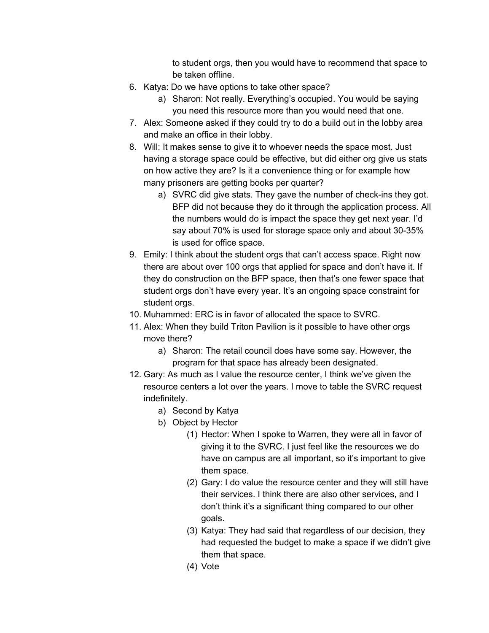to student orgs, then you would have to recommend that space to be taken offline.

- 6. Katya: Do we have options to take other space?
	- a) Sharon: Not really. Everything's occupied. You would be saying you need this resource more than you would need that one.
- 7. Alex: Someone asked if they could try to do a build out in the lobby area and make an office in their lobby.
- 8. Will: It makes sense to give it to whoever needs the space most. Just having a storage space could be effective, but did either org give us stats on how active they are? Is it a convenience thing or for example how many prisoners are getting books per quarter?
	- a) SVRC did give stats. They gave the number of check-ins they got. BFP did not because they do it through the application process. All the numbers would do is impact the space they get next year. I'd say about 70% is used for storage space only and about 30-35% is used for office space.
- 9. Emily: I think about the student orgs that can't access space. Right now there are about over 100 orgs that applied for space and don't have it. If they do construction on the BFP space, then that's one fewer space that student orgs don't have every year. It's an ongoing space constraint for student orgs.
- 10. Muhammed: ERC is in favor of allocated the space to SVRC.
- 11. Alex: When they build Triton Pavilion is it possible to have other orgs move there?
	- a) Sharon: The retail council does have some say. However, the program for that space has already been designated.
- 12. Gary: As much as I value the resource center, I think we've given the resource centers a lot over the years. I move to table the SVRC request indefinitely.
	- a) Second by Katya
	- b) Object by Hector
		- (1) Hector: When I spoke to Warren, they were all in favor of giving it to the SVRC. I just feel like the resources we do have on campus are all important, so it's important to give them space.
		- (2) Gary: I do value the resource center and they will still have their services. I think there are also other services, and I don't think it's a significant thing compared to our other goals.
		- (3) Katya: They had said that regardless of our decision, they had requested the budget to make a space if we didn't give them that space.
		- (4) Vote